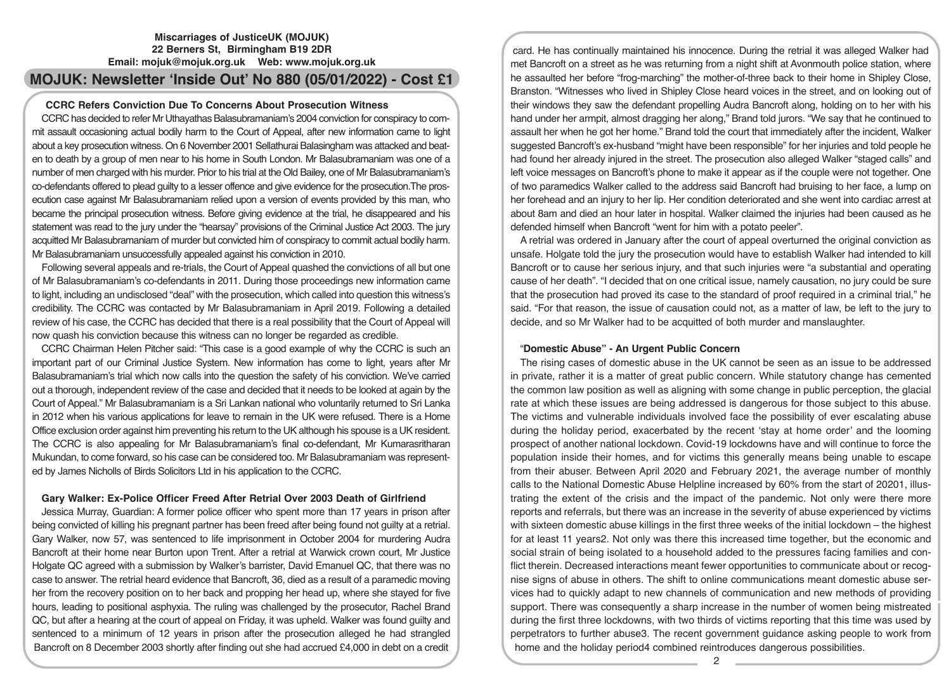## **Miscarriages of JusticeUK (MOJUK) 22 Berners St, Birmingham B19 2DR Email: mojuk@mojuk.org.uk Web: www.mojuk.org.uk**

# **MOJUK: Newsletter 'Inside Out' No 880 (05/01/2022) - Cost £1**

# **CCRC Refers Conviction Due To Concerns About Prosecution Witness**

CCRC has decided to refer Mr Uthayathas Balasubramaniam's 2004 conviction for conspiracy to commit assault occasioning actual bodily harm to the Court of Appeal, after new information came to light about a key prosecution witness. On 6 November 2001 Sellathurai Balasingham was attacked and beaten to death by a group of men near to his home in South London. Mr Balasubramaniam was one of a number of men charged with his murder. Prior to his trial at the Old Bailey, one of Mr Balasubramaniam's co-defendants offered to plead guilty to a lesser offence and give evidence for the prosecution.The prosecution case against Mr Balasubramaniam relied upon a version of events provided by this man, who became the principal prosecution witness. Before giving evidence at the trial, he disappeared and his statement was read to the jury under the "hearsay" provisions of the Criminal Justice Act 2003. The jury acquitted Mr Balasubramaniam of murder but convicted him of conspiracy to commit actual bodily harm. Mr Balasubramaniam unsuccessfully appealed against his conviction in 2010.

Following several appeals and re-trials, the Court of Appeal quashed the convictions of all but one of Mr Balasubramaniam's co-defendants in 2011. During those proceedings new information came to light, including an undisclosed "deal" with the prosecution, which called into question this witness's credibility. The CCRC was contacted by Mr Balasubramaniam in April 2019. Following a detailed review of his case, the CCRC has decided that there is a real possibility that the Court of Appeal will now quash his conviction because this witness can no longer be regarded as credible.

CCRC Chairman Helen Pitcher said: "This case is a good example of why the CCRC is such an important part of our Criminal Justice System. New information has come to light, years after Mr Balasubramaniam's trial which now calls into the question the safety of his conviction. We've carried out a thorough, independent review of the case and decided that it needs to be looked at again by the Court of Appeal." Mr Balasubramaniam is a Sri Lankan national who voluntarily returned to Sri Lanka in 2012 when his various applications for leave to remain in the UK were refused. There is a Home Office exclusion order against him preventing his return to the UK although his spouse is a UK resident. The CCRC is also appealing for Mr Balasubramaniam's final co-defendant, Mr Kumarasritharan Mukundan, to come forward, so his case can be considered too. Mr Balasubramaniam was represented by James Nicholls of Birds Solicitors Ltd in his application to the CCRC.

# **Gary Walker: Ex-Police Officer Freed After Retrial Over 2003 Death of Girlfriend**

Jessica Murray, Guardian: A former police officer who spent more than 17 years in prison after being convicted of killing his pregnant partner has been freed after being found not guilty at a retrial. Gary Walker, now 57, was sentenced to life imprisonment in October 2004 for murdering Audra Bancroft at their home near Burton upon Trent. After a retrial at Warwick crown court, Mr Justice Holgate QC agreed with a submission by Walker's barrister, David Emanuel QC, that there was no case to answer. The retrial heard evidence that Bancroft, 36, died as a result of a paramedic moving her from the recovery position on to her back and propping her head up, where she stayed for five hours, leading to positional asphyxia. The ruling was challenged by the prosecutor, Rachel Brand QC, but after a hearing at the court of appeal on Friday, it was upheld. Walker was found guilty and sentenced to a minimum of 12 years in prison after the prosecution alleged he had strangled Bancroft on 8 December 2003 shortly after finding out she had accrued £4,000 in debt on a credit

card. He has continually maintained his innocence. During the retrial it was alleged Walker had met Bancroft on a street as he was returning from a night shift at Avonmouth police station, where he assaulted her before "frog-marching" the mother-of-three back to their home in Shipley Close, Branston. "Witnesses who lived in Shipley Close heard voices in the street, and on looking out of their windows they saw the defendant propelling Audra Bancroft along, holding on to her with his hand under her armpit, almost dragging her along," Brand told jurors. "We say that he continued to assault her when he got her home." Brand told the court that immediately after the incident, Walker suggested Bancroft's ex-husband "might have been responsible" for her injuries and told people he had found her already injured in the street. The prosecution also alleged Walker "staged calls" and left voice messages on Bancroft's phone to make it appear as if the couple were not together. One of two paramedics Walker called to the address said Bancroft had bruising to her face, a lump on her forehead and an injury to her lip. Her condition deteriorated and she went into cardiac arrest at about 8am and died an hour later in hospital. Walker claimed the injuries had been caused as he defended himself when Bancroft "went for him with a potato peeler".

A retrial was ordered in January after the court of appeal overturned the original conviction as unsafe. Holgate told the jury the prosecution would have to establish Walker had intended to kill Bancroft or to cause her serious injury, and that such injuries were "a substantial and operating cause of her death". "I decided that on one critical issue, namely causation, no jury could be sure that the prosecution had proved its case to the standard of proof required in a criminal trial," he said. "For that reason, the issue of causation could not, as a matter of law, be left to the jury to decide, and so Mr Walker had to be acquitted of both murder and manslaughter.

# "**Domestic Abuse" - An Urgent Public Concern**

The rising cases of domestic abuse in the UK cannot be seen as an issue to be addressed in private, rather it is a matter of great public concern. While statutory change has cemented the common law position as well as aligning with some change in public perception, the glacial rate at which these issues are being addressed is dangerous for those subject to this abuse. The victims and vulnerable individuals involved face the possibility of ever escalating abuse during the holiday period, exacerbated by the recent 'stay at home order' and the looming prospect of another national lockdown. Covid-19 lockdowns have and will continue to force the population inside their homes, and for victims this generally means being unable to escape from their abuser. Between April 2020 and February 2021, the average number of monthly calls to the National Domestic Abuse Helpline increased by 60% from the start of 20201, illustrating the extent of the crisis and the impact of the pandemic. Not only were there more reports and referrals, but there was an increase in the severity of abuse experienced by victims with sixteen domestic abuse killings in the first three weeks of the initial lockdown – the highest for at least 11 years2. Not only was there this increased time together, but the economic and social strain of being isolated to a household added to the pressures facing families and conflict therein. Decreased interactions meant fewer opportunities to communicate about or recognise signs of abuse in others. The shift to online communications meant domestic abuse services had to quickly adapt to new channels of communication and new methods of providing support. There was consequently a sharp increase in the number of women being mistreated during the first three lockdowns, with two thirds of victims reporting that this time was used by perpetrators to further abuse3. The recent government guidance asking people to work from home and the holiday period4 combined reintroduces dangerous possibilities.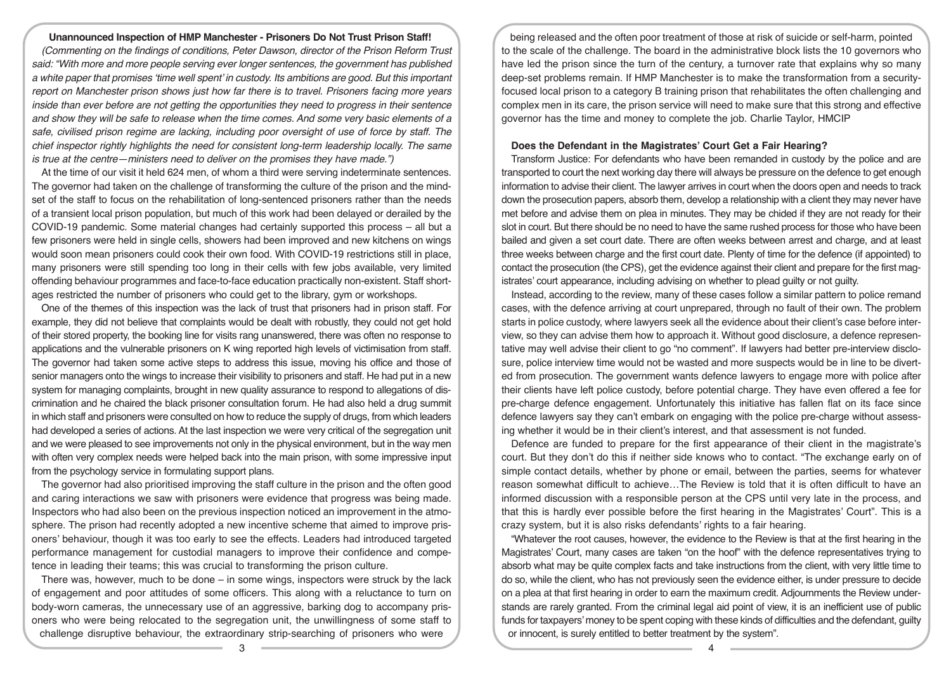### **Unannounced Inspection of HMP Manchester - Prisoners Do Not Trust Prison Staff!**

*(Commenting on the findings of conditions, Peter Dawson, director of the Prison Reform Trust said: "With more and more people serving ever longer sentences, the government has published a white paper that promises 'time well spent' in custody. Its ambitions are good. But this important report on Manchester prison shows just how far there is to travel. Prisoners facing more years inside than ever before are not getting the opportunities they need to progress in their sentence and show they will be safe to release when the time comes. And some very basic elements of a safe, civilised prison regime are lacking, including poor oversight of use of force by staff. The chief inspector rightly highlights the need for consistent long-term leadership locally. The same is true at the centre—ministers need to deliver on the promises they have made.")* 

At the time of our visit it held 624 men, of whom a third were serving indeterminate sentences. The governor had taken on the challenge of transforming the culture of the prison and the mindset of the staff to focus on the rehabilitation of long-sentenced prisoners rather than the needs of a transient local prison population, but much of this work had been delayed or derailed by the COVID-19 pandemic. Some material changes had certainly supported this process – all but a few prisoners were held in single cells, showers had been improved and new kitchens on wings would soon mean prisoners could cook their own food. With COVID-19 restrictions still in place, many prisoners were still spending too long in their cells with few jobs available, very limited offending behaviour programmes and face-to-face education practically non-existent. Staff shortages restricted the number of prisoners who could get to the library, gym or workshops.

One of the themes of this inspection was the lack of trust that prisoners had in prison staff. For example, they did not believe that complaints would be dealt with robustly, they could not get hold of their stored property, the booking line for visits rang unanswered, there was often no response to applications and the vulnerable prisoners on K wing reported high levels of victimisation from staff. The governor had taken some active steps to address this issue, moving his office and those of senior managers onto the wings to increase their visibility to prisoners and staff. He had put in a new system for managing complaints, brought in new quality assurance to respond to allegations of discrimination and he chaired the black prisoner consultation forum. He had also held a drug summit in which staff and prisoners were consulted on how to reduce the supply of drugs, from which leaders had developed a series of actions. At the last inspection we were very critical of the segregation unit and we were pleased to see improvements not only in the physical environment, but in the way men with often very complex needs were helped back into the main prison, with some impressive input from the psychology service in formulating support plans.

The governor had also prioritised improving the staff culture in the prison and the often good and caring interactions we saw with prisoners were evidence that progress was being made. Inspectors who had also been on the previous inspection noticed an improvement in the atmosphere. The prison had recently adopted a new incentive scheme that aimed to improve prisoners' behaviour, though it was too early to see the effects. Leaders had introduced targeted performance management for custodial managers to improve their confidence and competence in leading their teams; this was crucial to transforming the prison culture.

There was, however, much to be done – in some wings, inspectors were struck by the lack of engagement and poor attitudes of some officers. This along with a reluctance to turn on body-worn cameras, the unnecessary use of an aggressive, barking dog to accompany prisoners who were being relocated to the segregation unit, the unwillingness of some staff to challenge disruptive behaviour, the extraordinary strip-searching of prisoners who were

being released and the often poor treatment of those at risk of suicide or self-harm, pointed to the scale of the challenge. The board in the administrative block lists the 10 governors who have led the prison since the turn of the century, a turnover rate that explains why so many deep-set problems remain. If HMP Manchester is to make the transformation from a securityfocused local prison to a category B training prison that rehabilitates the often challenging and complex men in its care, the prison service will need to make sure that this strong and effective governor has the time and money to complete the job. Charlie Taylor, HMCIP

### **Does the Defendant in the Magistrates' Court Get a Fair Hearing?**

Transform Justice: For defendants who have been remanded in custody by the police and are transported to court the next working day there will always be pressure on the defence to get enough information to advise their client. The lawyer arrives in court when the doors open and needs to track down the prosecution papers, absorb them, develop a relationship with a client they may never have met before and advise them on plea in minutes. They may be chided if they are not ready for their slot in court. But there should be no need to have the same rushed process for those who have been bailed and given a set court date. There are often weeks between arrest and charge, and at least three weeks between charge and the first court date. Plenty of time for the defence (if appointed) to contact the prosecution (the CPS), get the evidence against their client and prepare for the first magistrates' court appearance, including advising on whether to plead guilty or not guilty.

Instead, according to the review, many of these cases follow a similar pattern to police remand cases, with the defence arriving at court unprepared, through no fault of their own. The problem starts in police custody, where lawyers seek all the evidence about their client's case before interview, so they can advise them how to approach it. Without good disclosure, a defence representative may well advise their client to go "no comment". If lawyers had better pre-interview disclosure, police interview time would not be wasted and more suspects would be in line to be diverted from prosecution. The government wants defence lawyers to engage more with police after their clients have left police custody, before potential charge. They have even offered a fee for pre-charge defence engagement. Unfortunately this initiative has fallen flat on its face since defence lawyers say they can't embark on engaging with the police pre-charge without assessing whether it would be in their client's interest, and that assessment is not funded.

Defence are funded to prepare for the first appearance of their client in the magistrate's court. But they don't do this if neither side knows who to contact. "The exchange early on of simple contact details, whether by phone or email, between the parties, seems for whatever reason somewhat difficult to achieve…The Review is told that it is often difficult to have an informed discussion with a responsible person at the CPS until very late in the process, and that this is hardly ever possible before the first hearing in the Magistrates' Court". This is a crazy system, but it is also risks defendants' rights to a fair hearing.

"Whatever the root causes, however, the evidence to the Review is that at the first hearing in the Magistrates' Court, many cases are taken "on the hoof" with the defence representatives trying to absorb what may be quite complex facts and take instructions from the client, with very little time to do so, while the client, who has not previously seen the evidence either, is under pressure to decide on a plea at that first hearing in order to earn the maximum credit. Adjournments the Review understands are rarely granted. From the criminal legal aid point of view, it is an inefficient use of public funds for taxpayers' money to be spent coping with these kinds of difficulties and the defendant, quilty or innocent, is surely entitled to better treatment by the system".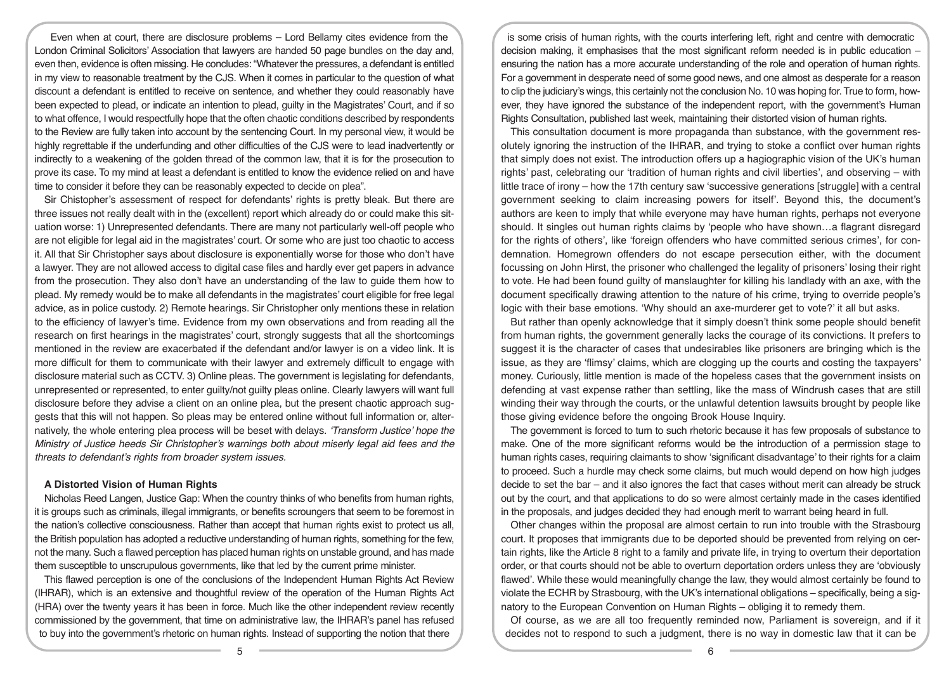Even when at court, there are disclosure problems – Lord Bellamy cites evidence from the London Criminal Solicitors' Association that lawyers are handed 50 page bundles on the day and, even then, evidence is often missing. He concludes: "Whatever the pressures, a defendant is entitled in my view to reasonable treatment by the CJS. When it comes in particular to the question of what discount a defendant is entitled to receive on sentence, and whether they could reasonably have been expected to plead, or indicate an intention to plead, guilty in the Magistrates' Court, and if so to what offence, I would respectfully hope that the often chaotic conditions described by respondents to the Review are fully taken into account by the sentencing Court. In my personal view, it would be highly regrettable if the underfunding and other difficulties of the CJS were to lead inadvertently or indirectly to a weakening of the golden thread of the common law, that it is for the prosecution to prove its case. To my mind at least a defendant is entitled to know the evidence relied on and have time to consider it before they can be reasonably expected to decide on plea".

Sir Chistopher's assessment of respect for defendants' rights is pretty bleak. But there are three issues not really dealt with in the (excellent) report which already do or could make this situation worse: 1) Unrepresented defendants. There are many not particularly well-off people who are not eligible for legal aid in the magistrates' court. Or some who are just too chaotic to access it. All that Sir Christopher says about disclosure is exponentially worse for those who don't have a lawyer. They are not allowed access to digital case files and hardly ever get papers in advance from the prosecution. They also don't have an understanding of the law to guide them how to plead. My remedy would be to make all defendants in the magistrates' court eligible for free legal advice, as in police custody. 2) Remote hearings. Sir Christopher only mentions these in relation to the efficiency of lawyer's time. Evidence from my own observations and from reading all the research on first hearings in the magistrates' court, strongly suggests that all the shortcomings mentioned in the review are exacerbated if the defendant and/or lawyer is on a video link. It is more difficult for them to communicate with their lawyer and extremely difficult to engage with disclosure material such as CCTV. 3) Online pleas. The government is legislating for defendants, unrepresented or represented, to enter guilty/not guilty pleas online. Clearly lawyers will want full disclosure before they advise a client on an online plea, but the present chaotic approach suggests that this will not happen. So pleas may be entered online without full information or, alternatively, the whole entering plea process will be beset with delays. *'Transform Justice' hope the Ministry of Justice heeds Sir Christopher's warnings both about miserly legal aid fees and the threats to defendant's rights from broader system issues.* 

#### **A Distorted Vision of Human Rights**

Nicholas Reed Langen, Justice Gap: When the country thinks of who benefits from human rights, it is groups such as criminals, illegal immigrants, or benefits scroungers that seem to be foremost in the nation's collective consciousness. Rather than accept that human rights exist to protect us all, the British population has adopted a reductive understanding of human rights, something for the few, not the many. Such a flawed perception has placed human rights on unstable ground, and has made them susceptible to unscrupulous governments, like that led by the current prime minister.

This flawed perception is one of the conclusions of the Independent Human Rights Act Review (IHRAR), which is an extensive and thoughtful review of the operation of the Human Rights Act (HRA) over the twenty years it has been in force. Much like the other independent review recently commissioned by the government, that time on administrative law, the IHRAR's panel has refused to buy into the government's rhetoric on human rights. Instead of supporting the notion that there

is some crisis of human rights, with the courts interfering left, right and centre with democratic decision making, it emphasises that the most significant reform needed is in public education – ensuring the nation has a more accurate understanding of the role and operation of human rights. For a government in desperate need of some good news, and one almost as desperate for a reason to clip the judiciary's wings, this certainly not the conclusion No. 10 was hoping for. True to form, however, they have ignored the substance of the independent report, with the government's Human Rights Consultation, published last week, maintaining their distorted vision of human rights.

This consultation document is more propaganda than substance, with the government resolutely ignoring the instruction of the IHRAR, and trying to stoke a conflict over human rights that simply does not exist. The introduction offers up a hagiographic vision of the UK's human rights' past, celebrating our 'tradition of human rights and civil liberties', and observing – with little trace of irony – how the 17th century saw 'successive generations [struggle] with a central government seeking to claim increasing powers for itself'. Beyond this, the document's authors are keen to imply that while everyone may have human rights, perhaps not everyone should. It singles out human rights claims by 'people who have shown…a flagrant disregard for the rights of others', like 'foreign offenders who have committed serious crimes', for condemnation. Homegrown offenders do not escape persecution either, with the document focussing on John Hirst, the prisoner who challenged the legality of prisoners' losing their right to vote. He had been found guilty of manslaughter for killing his landlady with an axe, with the document specifically drawing attention to the nature of his crime, trying to override people's logic with their base emotions. 'Why should an axe-murderer get to vote?' it all but asks.

But rather than openly acknowledge that it simply doesn't think some people should benefit from human rights, the government generally lacks the courage of its convictions. It prefers to suggest it is the character of cases that undesirables like prisoners are bringing which is the issue, as they are 'flimsy' claims, which are clogging up the courts and costing the taxpayers' money. Curiously, little mention is made of the hopeless cases that the government insists on defending at vast expense rather than settling, like the mass of Windrush cases that are still winding their way through the courts, or the unlawful detention lawsuits brought by people like those giving evidence before the ongoing Brook House Inquiry.

The government is forced to turn to such rhetoric because it has few proposals of substance to make. One of the more significant reforms would be the introduction of a permission stage to human rights cases, requiring claimants to show 'significant disadvantage' to their rights for a claim to proceed. Such a hurdle may check some claims, but much would depend on how high judges decide to set the bar – and it also ignores the fact that cases without merit can already be struck out by the court, and that applications to do so were almost certainly made in the cases identified in the proposals, and judges decided they had enough merit to warrant being heard in full.

Other changes within the proposal are almost certain to run into trouble with the Strasbourg court. It proposes that immigrants due to be deported should be prevented from relying on certain rights, like the Article 8 right to a family and private life, in trying to overturn their deportation order, or that courts should not be able to overturn deportation orders unless they are 'obviously flawed'. While these would meaningfully change the law, they would almost certainly be found to violate the ECHR by Strasbourg, with the UK's international obligations – specifically, being a signatory to the European Convention on Human Rights – obliging it to remedy them.

Of course, as we are all too frequently reminded now, Parliament is sovereign, and if it decides not to respond to such a judgment, there is no way in domestic law that it can be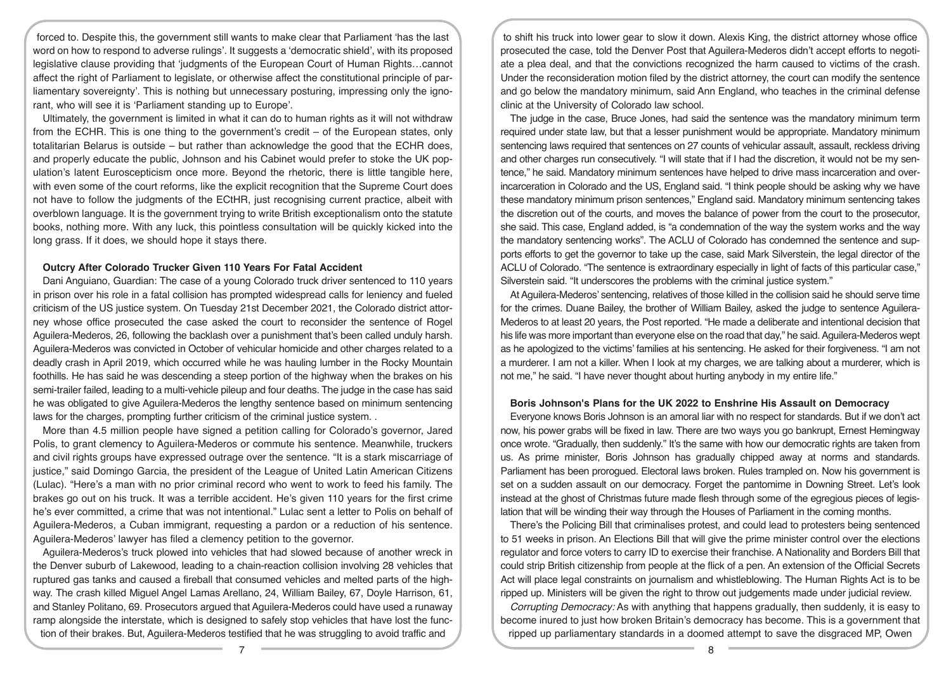forced to. Despite this, the government still wants to make clear that Parliament 'has the last word on how to respond to adverse rulings'. It suggests a 'democratic shield', with its proposed legislative clause providing that 'judgments of the European Court of Human Rights…cannot affect the right of Parliament to legislate, or otherwise affect the constitutional principle of parliamentary sovereignty'. This is nothing but unnecessary posturing, impressing only the ignorant, who will see it is 'Parliament standing up to Europe'.

Ultimately, the government is limited in what it can do to human rights as it will not withdraw from the ECHR. This is one thing to the government's credit – of the European states, only totalitarian Belarus is outside – but rather than acknowledge the good that the ECHR does, and properly educate the public, Johnson and his Cabinet would prefer to stoke the UK population's latent Euroscepticism once more. Beyond the rhetoric, there is little tangible here, with even some of the court reforms, like the explicit recognition that the Supreme Court does not have to follow the judgments of the ECtHR, just recognising current practice, albeit with overblown language. It is the government trying to write British exceptionalism onto the statute books, nothing more. With any luck, this pointless consultation will be quickly kicked into the long grass. If it does, we should hope it stays there.

#### **Outcry After Colorado Trucker Given 110 Years For Fatal Accident**

Dani Anguiano, Guardian: The case of a young Colorado truck driver sentenced to 110 years in prison over his role in a fatal collision has prompted widespread calls for leniency and fueled criticism of the US justice system. On Tuesday 21st December 2021, the Colorado district attorney whose office prosecuted the case asked the court to reconsider the sentence of Rogel Aguilera-Mederos, 26, following the backlash over a punishment that's been called unduly harsh. Aguilera-Mederos was convicted in October of vehicular homicide and other charges related to a deadly crash in April 2019, which occurred while he was hauling lumber in the Rocky Mountain foothills. He has said he was descending a steep portion of the highway when the brakes on his semi-trailer failed, leading to a multi-vehicle pileup and four deaths. The judge in the case has said he was obligated to give Aguilera-Mederos the lengthy sentence based on minimum sentencing laws for the charges, prompting further criticism of the criminal justice system...

More than 4.5 million people have signed a petition calling for Colorado's governor, Jared Polis, to grant clemency to Aguilera-Mederos or commute his sentence. Meanwhile, truckers and civil rights groups have expressed outrage over the sentence. "It is a stark miscarriage of justice," said Domingo Garcia, the president of the League of United Latin American Citizens (Lulac). "Here's a man with no prior criminal record who went to work to feed his family. The brakes go out on his truck. It was a terrible accident. He's given 110 years for the first crime he's ever committed, a crime that was not intentional." Lulac sent a letter to Polis on behalf of Aguilera-Mederos, a Cuban immigrant, requesting a pardon or a reduction of his sentence. Aguilera-Mederos' lawyer has filed a clemency petition to the governor.

Aguilera-Mederos's truck plowed into vehicles that had slowed because of another wreck in the Denver suburb of Lakewood, leading to a chain-reaction collision involving 28 vehicles that ruptured gas tanks and caused a fireball that consumed vehicles and melted parts of the highway. The crash killed Miguel Angel Lamas Arellano, 24, William Bailey, 67, Doyle Harrison, 61, and Stanley Politano, 69. Prosecutors argued that Aguilera-Mederos could have used a runaway ramp alongside the interstate, which is designed to safely stop vehicles that have lost the function of their brakes. But, Aguilera-Mederos testified that he was struggling to avoid traffic and

to shift his truck into lower gear to slow it down. Alexis King, the district attorney whose office prosecuted the case, told the Denver Post that Aguilera-Mederos didn't accept efforts to negotiate a plea deal, and that the convictions recognized the harm caused to victims of the crash. Under the reconsideration motion filed by the district attorney, the court can modify the sentence and go below the mandatory minimum, said Ann England, who teaches in the criminal defense clinic at the University of Colorado law school.

The judge in the case, Bruce Jones, had said the sentence was the mandatory minimum term required under state law, but that a lesser punishment would be appropriate. Mandatory minimum sentencing laws required that sentences on 27 counts of vehicular assault, assault, reckless driving and other charges run consecutively. "I will state that if I had the discretion, it would not be my sentence," he said. Mandatory minimum sentences have helped to drive mass incarceration and overincarceration in Colorado and the US, England said. "I think people should be asking why we have these mandatory minimum prison sentences," England said. Mandatory minimum sentencing takes the discretion out of the courts, and moves the balance of power from the court to the prosecutor, she said. This case, England added, is "a condemnation of the way the system works and the way the mandatory sentencing works". The ACLU of Colorado has condemned the sentence and supports efforts to get the governor to take up the case, said Mark Silverstein, the legal director of the ACLU of Colorado. "The sentence is extraordinary especially in light of facts of this particular case," Silverstein said. "It underscores the problems with the criminal justice system."

At Aguilera-Mederos' sentencing, relatives of those killed in the collision said he should serve time for the crimes. Duane Bailey, the brother of William Bailey, asked the judge to sentence Aguilera-Mederos to at least 20 years, the Post reported. "He made a deliberate and intentional decision that his life was more important than everyone else on the road that day," he said. Aguilera-Mederos wept as he apologized to the victims' families at his sentencing. He asked for their forgiveness. "I am not a murderer. I am not a killer. When I look at my charges, we are talking about a murderer, which is not me," he said. "I have never thought about hurting anybody in my entire life."

#### **Boris Johnson's Plans for the UK 2022 to Enshrine His Assault on Democracy**

Everyone knows Boris Johnson is an amoral liar with no respect for standards. But if we don't act now, his power grabs will be fixed in law. There are two ways you go bankrupt, Ernest Hemingway once wrote. "Gradually, then suddenly." It's the same with how our democratic rights are taken from us. As prime minister, Boris Johnson has gradually chipped away at norms and standards. Parliament has been prorogued. Electoral laws broken. Rules trampled on. Now his government is set on a sudden assault on our democracy. Forget the pantomime in Downing Street. Let's look instead at the ghost of Christmas future made flesh through some of the egregious pieces of legislation that will be winding their way through the Houses of Parliament in the coming months.

There's the Policing Bill that criminalises protest, and could lead to protesters being sentenced to 51 weeks in prison. An Elections Bill that will give the prime minister control over the elections regulator and force voters to carry ID to exercise their franchise. A Nationality and Borders Bill that could strip British citizenship from people at the flick of a pen. An extension of the Official Secrets Act will place legal constraints on journalism and whistleblowing. The Human Rights Act is to be ripped up. Ministers will be given the right to throw out judgements made under judicial review.

*Corrupting Democracy:* As with anything that happens gradually, then suddenly, it is easy to become inured to just how broken Britain's democracy has become. This is a government that ripped up parliamentary standards in a doomed attempt to save the disgraced MP, Owen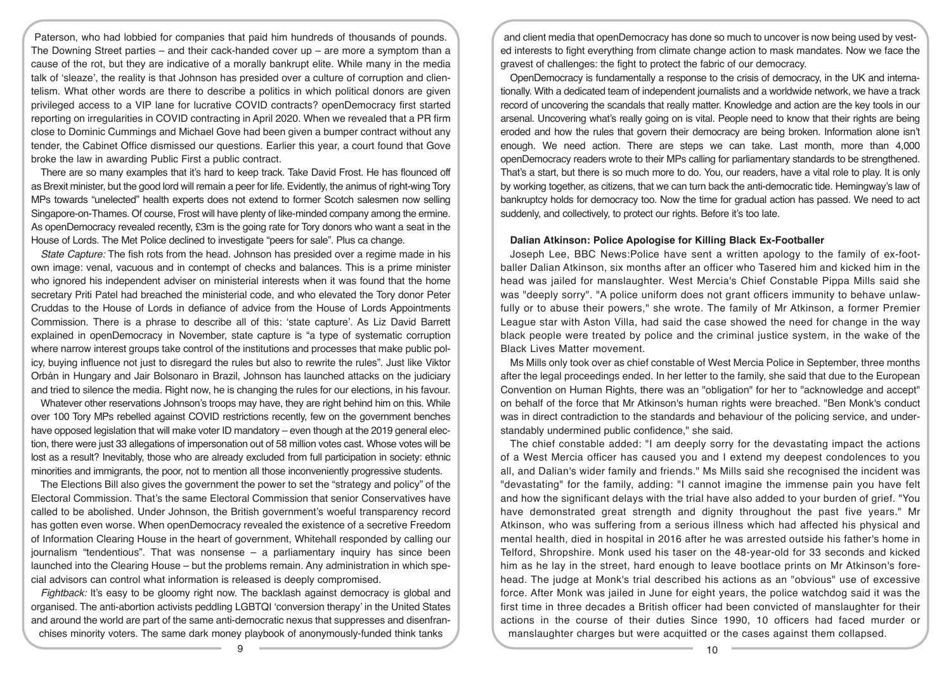Paterson, who had lobbied for companies that paid him hundreds of thousands of pounds. The Downing Street parties – and their cack-handed cover up – are more a symptom than a cause of the rot, but they are indicative of a morally bankrupt elite. While many in the media talk of 'sleaze', the reality is that Johnson has presided over a culture of corruption and clientelism. What other words are there to describe a politics in which political donors are given privileged access to a VIP lane for lucrative COVID contracts? openDemocracy first started reporting on irregularities in COVID contracting in April 2020. When we revealed that a PR firm close to Dominic Cummings and Michael Gove had been given a bumper contract without any tender, the Cabinet Office dismissed our questions. Earlier this year, a court found that Gove broke the law in awarding Public First a public contract.

There are so many examples that it's hard to keep track. Take David Frost. He has flounced off as Brexit minister, but the good lord will remain a peer for life. Evidently, the animus of right-wing Tory MPs towards "unelected" health experts does not extend to former Scotch salesmen now selling Singapore-on-Thames. Of course, Frost will have plenty of like-minded company among the ermine. As openDemocracy revealed recently, £3m is the going rate for Tory donors who want a seat in the House of Lords. The Met Police declined to investigate "peers for sale". Plus ca change.

*State Capture:* The fish rots from the head. Johnson has presided over a regime made in his own image: venal, vacuous and in contempt of checks and balances. This is a prime minister who ignored his independent adviser on ministerial interests when it was found that the home secretary Priti Patel had breached the ministerial code, and who elevated the Tory donor Peter Cruddas to the House of Lords in defiance of advice from the House of Lords Appointments Commission. There is a phrase to describe all of this: 'state capture'. As Liz David Barrett explained in openDemocracy in November, state capture is "a type of systematic corruption where narrow interest groups take control of the institutions and processes that make public policy, buying influence not just to disregard the rules but also to rewrite the rules". Just like Viktor Orbán in Hungary and Jair Bolsonaro in Brazil, Johnson has launched attacks on the judiciary and tried to silence the media. Right now, he is changing the rules for our elections, in his favour.

Whatever other reservations Johnson's troops may have, they are right behind him on this. While over 100 Tory MPs rebelled against COVID restrictions recently, few on the government benches have opposed legislation that will make voter ID mandatory – even though at the 2019 general election, there were just 33 allegations of impersonation out of 58 million votes cast. Whose votes will be lost as a result? Inevitably, those who are already excluded from full participation in society: ethnic minorities and immigrants, the poor, not to mention all those inconveniently progressive students.

The Elections Bill also gives the government the power to set the "strategy and policy" of the Electoral Commission. That's the same Electoral Commission that senior Conservatives have called to be abolished. Under Johnson, the British government's woeful transparency record has gotten even worse. When openDemocracy revealed the existence of a secretive Freedom of Information Clearing House in the heart of government, Whitehall responded by calling our journalism "tendentious". That was nonsense – a parliamentary inquiry has since been launched into the Clearing House – but the problems remain. Any administration in which special advisors can control what information is released is deeply compromised.

*Fightback:* It's easy to be gloomy right now. The backlash against democracy is global and organised. The anti-abortion activists peddling LGBTQI 'conversion therapy' in the United States and around the world are part of the same anti-democratic nexus that suppresses and disenfranchises minority voters. The same dark money playbook of anonymously-funded think tanks

and client media that openDemocracy has done so much to uncover is now being used by vested interests to fight everything from climate change action to mask mandates. Now we face the gravest of challenges: the fight to protect the fabric of our democracy.

OpenDemocracy is fundamentally a response to the crisis of democracy, in the UK and internationally. With a dedicated team of independent journalists and a worldwide network, we have a track record of uncovering the scandals that really matter. Knowledge and action are the key tools in our arsenal. Uncovering what's really going on is vital. People need to know that their rights are being eroded and how the rules that govern their democracy are being broken. Information alone isn't enough. We need action. There are steps we can take. Last month, more than 4,000 openDemocracy readers wrote to their MPs calling for parliamentary standards to be strengthened. That's a start, but there is so much more to do. You, our readers, have a vital role to play. It is only by working together, as citizens, that we can turn back the anti-democratic tide. Hemingway's law of bankruptcy holds for democracy too. Now the time for gradual action has passed. We need to act suddenly, and collectively, to protect our rights. Before it's too late.

#### **Dalian Atkinson: Police Apologise for Killing Black Ex-Footballer**

Joseph Lee, BBC News:Police have sent a written apology to the family of ex-footballer Dalian Atkinson, six months after an officer who Tasered him and kicked him in the head was jailed for manslaughter. West Mercia's Chief Constable Pippa Mills said she was "deeply sorry". "A police uniform does not grant officers immunity to behave unlawfully or to abuse their powers," she wrote. The family of Mr Atkinson, a former Premier League star with Aston Villa, had said the case showed the need for change in the way black people were treated by police and the criminal justice system, in the wake of the Black Lives Matter movement.

Ms Mills only took over as chief constable of West Mercia Police in September, three months after the legal proceedings ended. In her letter to the family, she said that due to the European Convention on Human Rights, there was an "obligation" for her to "acknowledge and accept" on behalf of the force that Mr Atkinson's human rights were breached. "Ben Monk's conduct was in direct contradiction to the standards and behaviour of the policing service, and understandably undermined public confidence," she said.

The chief constable added: "I am deeply sorry for the devastating impact the actions of a West Mercia officer has caused you and I extend my deepest condolences to you all, and Dalian's wider family and friends." Ms Mills said she recognised the incident was "devastating" for the family, adding: "I cannot imagine the immense pain you have felt and how the significant delays with the trial have also added to your burden of grief. "You have demonstrated great strength and dignity throughout the past five years." Mr Atkinson, who was suffering from a serious illness which had affected his physical and mental health, died in hospital in 2016 after he was arrested outside his father's home in Telford, Shropshire. Monk used his taser on the 48-year-old for 33 seconds and kicked him as he lay in the street, hard enough to leave bootlace prints on Mr Atkinson's forehead. The judge at Monk's trial described his actions as an "obvious" use of excessive force. After Monk was jailed in June for eight years, the police watchdog said it was the first time in three decades a British officer had been convicted of manslaughter for their actions in the course of their duties Since 1990, 10 officers had faced murder or manslaughter charges but were acquitted or the cases against them collapsed.